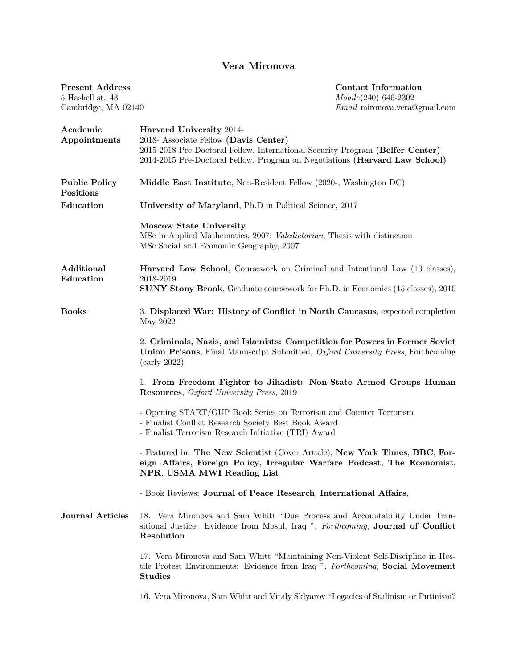## Vera Mironova

| <b>Present Address</b><br>5 Haskell st. 43<br>Cambridge, MA 02140 | <b>Contact Information</b><br>Mobile(240) 646-2302<br><i>Email</i> mironova.vera@gmail.com                                                                                                                                        |
|-------------------------------------------------------------------|-----------------------------------------------------------------------------------------------------------------------------------------------------------------------------------------------------------------------------------|
| Academic<br>Appointments                                          | Harvard University 2014-<br>2018- Associate Fellow (Davis Center)<br>2015-2018 Pre-Doctoral Fellow, International Security Program (Belfer Center)<br>2014-2015 Pre-Doctoral Fellow, Program on Negotiations (Harvard Law School) |
| <b>Public Policy</b><br>Positions                                 | Middle East Institute, Non-Resident Fellow (2020-, Washington DC)                                                                                                                                                                 |
| Education                                                         | University of Maryland, Ph.D in Political Science, 2017                                                                                                                                                                           |
|                                                                   | <b>Moscow State University</b><br>MSc in Applied Mathematics, 2007; Valedictorian, Thesis with distinction<br>MSc Social and Economic Geography, 2007                                                                             |
| Additional<br>Education                                           | Harvard Law School, Coursework on Criminal and Intentional Law (10 classes),<br>2018-2019                                                                                                                                         |
|                                                                   | <b>SUNY Stony Brook</b> , Graduate coursework for Ph.D. in Economics (15 classes), 2010                                                                                                                                           |
| <b>Books</b>                                                      | 3. Displaced War: History of Conflict in North Caucasus, expected completion<br>May 2022                                                                                                                                          |
|                                                                   | 2. Criminals, Nazis, and Islamists: Competition for Powers in Former Soviet<br><b>Union Prisons</b> , Final Manuscript Submitted, <i>Oxford University Press</i> , Forthcoming<br>(early 2022)                                    |
|                                                                   | 1. From Freedom Fighter to Jihadist: Non-State Armed Groups Human<br><b>Resources</b> , <i>Oxford University Press</i> , 2019                                                                                                     |
|                                                                   | - Opening START/OUP Book Series on Terrorism and Counter Terrorism<br>- Finalist Conflict Research Society Best Book Award<br>- Finalist Terrorism Research Initiative (TRI) Award                                                |
|                                                                   | - Featured in: The New Scientist (Cover Article), New York Times, BBC, For-<br>eign Affairs, Foreign Policy, Irregular Warfare Podcast, The Economist,<br>NPR, USMA MWI Reading List                                              |
|                                                                   | - Book Reviews: Journal of Peace Research, International Affairs,                                                                                                                                                                 |
| <b>Journal Articles</b>                                           | 18. Vera Mironova and Sam Whitt "Due Process and Accountability Under Tran-<br>sitional Justice: Evidence from Mosul, Iraq ", Forthcoming, Journal of Conflict<br>Resolution                                                      |
|                                                                   | 17. Vera Mironova and Sam Whitt "Maintaining Non-Violent Self-Discipline in Hos-<br>tile Protest Environments: Evidence from Iraq ", Forthcoming, Social Movement<br>Studies                                                      |
|                                                                   | 16. Vera Mironova, Sam Whitt and Vitaly Sklyarov "Legacies of Stalinism or Putinism?                                                                                                                                              |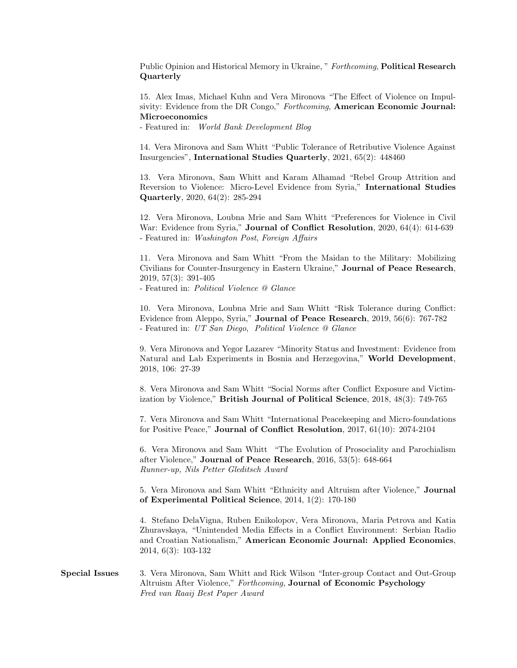Public Opinion and Historical Memory in Ukraine, " Forthcoming, Political Research Quarterly

15. Alex Imas, Michael Kuhn and Vera Mironova "The Effect of Violence on Impulsivity: Evidence from the DR Congo," Forthcoming, American Economic Journal: Microeconomics

- Featured in: World Bank Development Blog

14. Vera Mironova and Sam Whitt "Public Tolerance of Retributive Violence Against Insurgencies", International Studies Quarterly, 2021, 65(2): 448460

13. Vera Mironova, Sam Whitt and Karam Alhamad "Rebel Group Attrition and Reversion to Violence: Micro-Level Evidence from Syria," International Studies Quarterly, 2020, 64(2): 285-294

12. Vera Mironova, Loubna Mrie and Sam Whitt "Preferences for Violence in Civil War: Evidence from Syria," Journal of Conflict Resolution, 2020, 64(4): 614-639 - Featured in: Washington Post, Foreign Affairs

11. Vera Mironova and Sam Whitt "From the Maidan to the Military: Mobilizing Civilians for Counter-Insurgency in Eastern Ukraine," Journal of Peace Research, 2019, 57(3): 391-405

- Featured in: Political Violence @ Glance

10. Vera Mironova, Loubna Mrie and Sam Whitt "Risk Tolerance during Conflict: Evidence from Aleppo, Syria," Journal of Peace Research, 2019, 56(6): 767-782 - Featured in: UT San Diego, Political Violence @ Glance

9. Vera Mironova and Yegor Lazarev "Minority Status and Investment: Evidence from Natural and Lab Experiments in Bosnia and Herzegovina," World Development, 2018, 106: 27-39

8. Vera Mironova and Sam Whitt "Social Norms after Conflict Exposure and Victimization by Violence," British Journal of Political Science, 2018, 48(3): 749-765

7. Vera Mironova and Sam Whitt "International Peacekeeping and Micro-foundations for Positive Peace," Journal of Conflict Resolution, 2017, 61(10): 2074-2104

6. Vera Mironova and Sam Whitt "The Evolution of Prosociality and Parochialism after Violence," Journal of Peace Research, 2016, 53(5): 648-664 Runner-up, Nils Petter Gleditsch Award

5. Vera Mironova and Sam Whitt "Ethnicity and Altruism after Violence," Journal of Experimental Political Science, 2014, 1(2): 170-180

4. Stefano DelaVigna, Ruben Enikolopov, Vera Mironova, Maria Petrova and Katia Zhuravskaya, "Unintended Media Effects in a Conflict Environment: Serbian Radio and Croatian Nationalism," American Economic Journal: Applied Economics, 2014, 6(3): 103-132

Special Issues 3. Vera Mironova, Sam Whitt and Rick Wilson "Inter-group Contact and Out-Group Altruism After Violence," Forthcoming, Journal of Economic Psychology Fred van Raaij Best Paper Award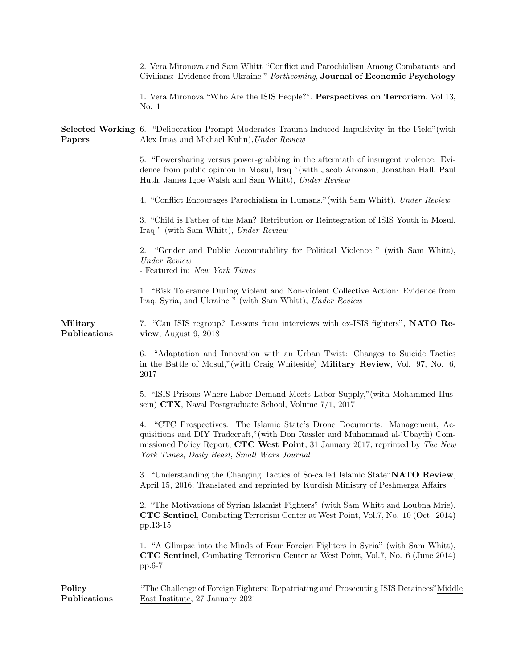|                          | 2. Vera Mironova and Sam Whitt "Conflict and Parochialism Among Combatants and<br>Civilians: Evidence from Ukraine " Forthcoming, Journal of Economic Psychology                                                                                                                                  |
|--------------------------|---------------------------------------------------------------------------------------------------------------------------------------------------------------------------------------------------------------------------------------------------------------------------------------------------|
|                          | 1. Vera Mironova "Who Are the ISIS People?", Perspectives on Terrorism, Vol 13,<br>No. 1                                                                                                                                                                                                          |
| Papers                   | Selected Working 6. "Deliberation Prompt Moderates Trauma-Induced Impulsivity in the Field" (with<br>Alex Imas and Michael Kuhn), Under Review                                                                                                                                                    |
|                          | 5. "Powersharing versus power-grabbing in the aftermath of insurgent violence: Evi-<br>dence from public opinion in Mosul, Iraq "(with Jacob Aronson, Jonathan Hall, Paul<br>Huth, James Igoe Walsh and Sam Whitt), Under Review                                                                  |
|                          | 4. "Conflict Encourages Parochialism in Humans," (with Sam Whitt), Under Review                                                                                                                                                                                                                   |
|                          | 3. "Child is Father of the Man? Retribution or Reintegration of ISIS Youth in Mosul,<br>Iraq " (with Sam Whitt), Under Review                                                                                                                                                                     |
|                          | "Gender and Public Accountability for Political Violence" (with Sam Whitt),<br>2.<br><b><i>Under Review</i></b><br>- Featured in: New York Times                                                                                                                                                  |
|                          | 1. "Risk Tolerance During Violent and Non-violent Collective Action: Evidence from<br>Iraq, Syria, and Ukraine " (with Sam Whitt), Under Review                                                                                                                                                   |
| Military<br>Publications | 7. "Can ISIS regroup? Lessons from interviews with ex-ISIS fighters", NATO Re-<br>view, August 9, $2018$                                                                                                                                                                                          |
|                          | "Adaptation and Innovation with an Urban Twist: Changes to Suicide Tactics<br>6.<br>in the Battle of Mosul," (with Craig Whiteside) Military Review, Vol. 97, No. 6,<br>2017                                                                                                                      |
|                          | 5. "ISIS Prisons Where Labor Demand Meets Labor Supply," (with Mohammed Hus-<br>sein) CTX, Naval Postgraduate School, Volume 7/1, 2017                                                                                                                                                            |
|                          | "CTC Prospectives. The Islamic State's Drone Documents: Management, Ac-<br>4.<br>quisitions and DIY Tradecraft," (with Don Rassler and Muhammad al-'Ubaydi) Com-<br>missioned Policy Report, CTC West Point, 31 January 2017; reprinted by The New<br>York Times, Daily Beast, Small Wars Journal |
|                          | 3. "Understanding the Changing Tactics of So-called Islamic State" NATO Review,<br>April 15, 2016; Translated and reprinted by Kurdish Ministry of Peshmerga Affairs                                                                                                                              |
|                          | 2. "The Motivations of Syrian Islamist Fighters" (with Sam Whitt and Loubna Mrie),<br><b>CTC Sentinel</b> , Combating Terrorism Center at West Point, Vol.7, No. 10 (Oct. 2014)<br>pp.13-15                                                                                                       |
|                          | 1. "A Glimpse into the Minds of Four Foreign Fighters in Syria" (with Sam Whitt),<br>CTC Sentinel, Combating Terrorism Center at West Point, Vol.7, No. 6 (June 2014)<br>$pp.6-7$                                                                                                                 |
| Policy<br>Publications   | "The Challenge of Foreign Fighters: Repatriating and Prosecuting ISIS Detainees" Middle<br>East Institute, 27 January 2021                                                                                                                                                                        |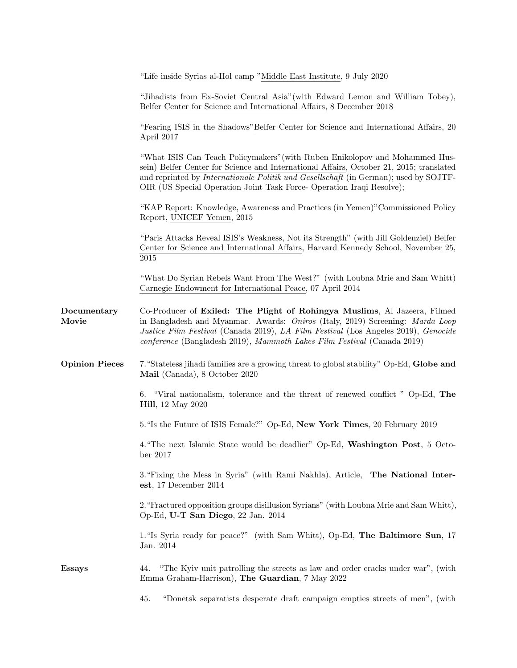|                       | "Life inside Syrias al-Hol camp "Middle East Institute, 9 July 2020                                                                                                                                                                                                                                                                     |
|-----------------------|-----------------------------------------------------------------------------------------------------------------------------------------------------------------------------------------------------------------------------------------------------------------------------------------------------------------------------------------|
|                       | "Jihadists from Ex-Soviet Central Asia" (with Edward Lemon and William Tobey),<br>Belfer Center for Science and International Affairs, 8 December 2018                                                                                                                                                                                  |
|                       | "Fearing ISIS in the Shadows" Belfer Center for Science and International Affairs, 20<br>April 2017                                                                                                                                                                                                                                     |
|                       | "What ISIS Can Teach Policymakers" (with Ruben Enikolopov and Mohammed Hus-<br>sein) Belfer Center for Science and International Affairs, October 21, 2015; translated<br>and reprinted by Internationale Politik und Gesellschaft (in German); used by SOJTF-<br>OIR (US Special Operation Joint Task Force- Operation Iraqi Resolve); |
|                       | "KAP Report: Knowledge, Awareness and Practices (in Yemen)" Commissioned Policy<br>Report, UNICEF Yemen, 2015                                                                                                                                                                                                                           |
|                       | "Paris Attacks Reveal ISIS's Weakness, Not its Strength" (with Jill Goldenziel) Belfer<br>Center for Science and International Affairs, Harvard Kennedy School, November 25,<br>2015                                                                                                                                                    |
|                       | "What Do Syrian Rebels Want From The West?" (with Loubna Mrie and Sam Whitt)<br>Carnegie Endowment for International Peace, 07 April 2014                                                                                                                                                                                               |
| Documentary<br>Movie  | Co-Producer of Exiled: The Plight of Rohingya Muslims, Al Jazeera, Filmed<br>in Bangladesh and Myanmar. Awards: Oniros (Italy, 2019) Screening: Marda Loop<br>Justice Film Festival (Canada 2019), LA Film Festival (Los Angeles 2019), Genocide<br>conference (Bangladesh 2019), Mammoth Lakes Film Festival (Canada 2019)             |
| <b>Opinion Pieces</b> | 7. "Stateless jihadi families are a growing threat to global stability" Op-Ed, Globe and<br>Mail (Canada), 8 October 2020                                                                                                                                                                                                               |
|                       | 6. "Viral nationalism, tolerance and the threat of renewed conflict " Op-Ed, The<br><b>Hill</b> , 12 May 2020                                                                                                                                                                                                                           |
|                       | 5. "Is the Future of ISIS Female?" Op-Ed, New York Times, 20 February 2019                                                                                                                                                                                                                                                              |
|                       | 4. "The next Islamic State would be deadlier" Op-Ed, Washington Post, 5 Octo-<br>ber 2017                                                                                                                                                                                                                                               |
|                       | 3. "Fixing the Mess in Syria" (with Rami Nakhla), Article, The National Inter-<br>est, 17 December 2014                                                                                                                                                                                                                                 |
|                       | 2. "Fractured opposition groups disillusion Syrians" (with Loubna Mrie and Sam Whitt),<br>Op-Ed, U-T San Diego, 22 Jan. 2014                                                                                                                                                                                                            |
|                       | 1. "Is Syria ready for peace?" (with Sam Whitt), Op-Ed, The Baltimore Sun, 17<br>Jan. 2014                                                                                                                                                                                                                                              |
| <b>Essays</b>         | "The Kyiv unit patrolling the streets as law and order cracks under war", (with<br>44.<br>Emma Graham-Harrison), The Guardian, 7 May 2022                                                                                                                                                                                               |
|                       | "Donetsk separatists desperate draft campaign empties streets of men", (with<br>45.                                                                                                                                                                                                                                                     |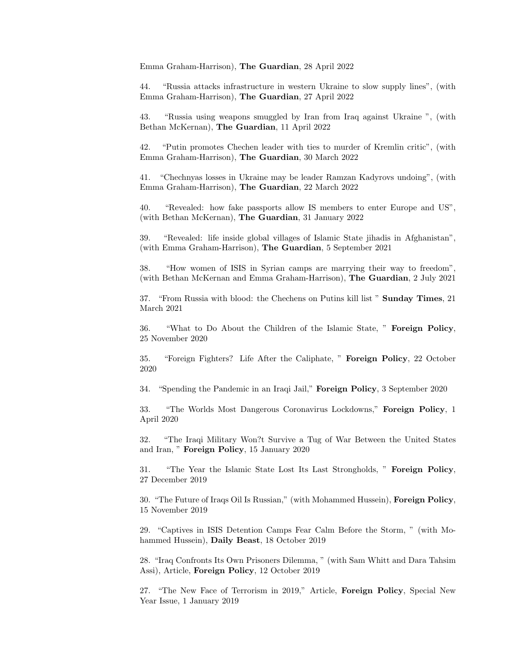Emma Graham-Harrison), The Guardian, 28 April 2022

44. "Russia attacks infrastructure in western Ukraine to slow supply lines", (with Emma Graham-Harrison), The Guardian, 27 April 2022

43. "Russia using weapons smuggled by Iran from Iraq against Ukraine ", (with Bethan McKernan), The Guardian, 11 April 2022

42. "Putin promotes Chechen leader with ties to murder of Kremlin critic", (with Emma Graham-Harrison), The Guardian, 30 March 2022

41. "Chechnyas losses in Ukraine may be leader Ramzan Kadyrovs undoing", (with Emma Graham-Harrison), The Guardian, 22 March 2022

40. "Revealed: how fake passports allow IS members to enter Europe and US", (with Bethan McKernan), The Guardian, 31 January 2022

39. "Revealed: life inside global villages of Islamic State jihadis in Afghanistan", (with Emma Graham-Harrison), The Guardian, 5 September 2021

38. "How women of ISIS in Syrian camps are marrying their way to freedom", (with Bethan McKernan and Emma Graham-Harrison), The Guardian, 2 July 2021

37. "From Russia with blood: the Chechens on Putins kill list " Sunday Times, 21 March 2021

36. "What to Do About the Children of the Islamic State, " Foreign Policy, 25 November 2020

35. "Foreign Fighters? Life After the Caliphate, " Foreign Policy, 22 October 2020

34. "Spending the Pandemic in an Iraqi Jail," Foreign Policy, 3 September 2020

33. "The Worlds Most Dangerous Coronavirus Lockdowns," Foreign Policy, 1 April 2020

32. "The Iraqi Military Won?t Survive a Tug of War Between the United States and Iran, " Foreign Policy, 15 January 2020

31. "The Year the Islamic State Lost Its Last Strongholds, " Foreign Policy, 27 December 2019

30. "The Future of Iraqs Oil Is Russian," (with Mohammed Hussein), Foreign Policy, 15 November 2019

29. "Captives in ISIS Detention Camps Fear Calm Before the Storm, " (with Mohammed Hussein), Daily Beast, 18 October 2019

28. "Iraq Confronts Its Own Prisoners Dilemma, " (with Sam Whitt and Dara Tahsim Assi), Article, Foreign Policy, 12 October 2019

27. "The New Face of Terrorism in 2019," Article, Foreign Policy, Special New Year Issue, 1 January 2019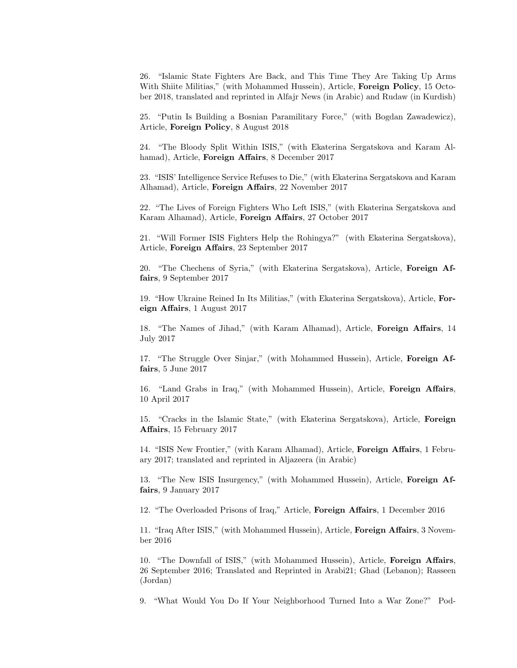26. "Islamic State Fighters Are Back, and This Time They Are Taking Up Arms With Shiite Militias," (with Mohammed Hussein), Article, **Foreign Policy**, 15 October 2018, translated and reprinted in Alfajr News (in Arabic) and Rudaw (in Kurdish)

25. "Putin Is Building a Bosnian Paramilitary Force," (with Bogdan Zawadewicz), Article, Foreign Policy, 8 August 2018

24. "The Bloody Split Within ISIS," (with Ekaterina Sergatskova and Karam Alhamad), Article, Foreign Affairs, 8 December 2017

23. "ISIS' Intelligence Service Refuses to Die," (with Ekaterina Sergatskova and Karam Alhamad), Article, Foreign Affairs, 22 November 2017

22. "The Lives of Foreign Fighters Who Left ISIS," (with Ekaterina Sergatskova and Karam Alhamad), Article, Foreign Affairs, 27 October 2017

21. "Will Former ISIS Fighters Help the Rohingya?" (with Ekaterina Sergatskova), Article, Foreign Affairs, 23 September 2017

20. "The Chechens of Syria," (with Ekaterina Sergatskova), Article, Foreign Affairs, 9 September 2017

19. "How Ukraine Reined In Its Militias," (with Ekaterina Sergatskova), Article, Foreign Affairs, 1 August 2017

18. "The Names of Jihad," (with Karam Alhamad), Article, Foreign Affairs, 14 July 2017

17. "The Struggle Over Sinjar," (with Mohammed Hussein), Article, Foreign Affairs, 5 June 2017

16. "Land Grabs in Iraq," (with Mohammed Hussein), Article, Foreign Affairs, 10 April 2017

15. "Cracks in the Islamic State," (with Ekaterina Sergatskova), Article, Foreign Affairs, 15 February 2017

14. "ISIS New Frontier," (with Karam Alhamad), Article, Foreign Affairs, 1 February 2017; translated and reprinted in Aljazeera (in Arabic)

13. "The New ISIS Insurgency," (with Mohammed Hussein), Article, Foreign Affairs, 9 January 2017

12. "The Overloaded Prisons of Iraq," Article, Foreign Affairs, 1 December 2016

11. "Iraq After ISIS," (with Mohammed Hussein), Article, Foreign Affairs, 3 November 2016

10. "The Downfall of ISIS," (with Mohammed Hussein), Article, Foreign Affairs, 26 September 2016; Translated and Reprinted in Arabi21; Ghad (Lebanon); Rasseen (Jordan)

9. "What Would You Do If Your Neighborhood Turned Into a War Zone?" Pod-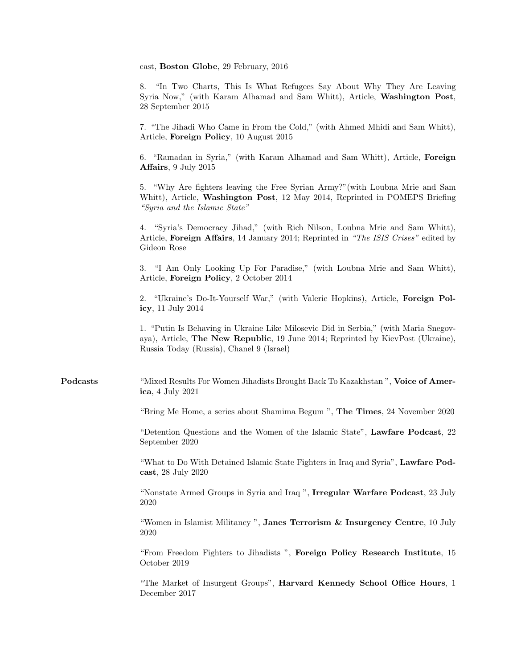cast, Boston Globe, 29 February, 2016

8. "In Two Charts, This Is What Refugees Say About Why They Are Leaving Syria Now," (with Karam Alhamad and Sam Whitt), Article, Washington Post, 28 September 2015

7. "The Jihadi Who Came in From the Cold," (with Ahmed Mhidi and Sam Whitt), Article, Foreign Policy, 10 August 2015

6. "Ramadan in Syria," (with Karam Alhamad and Sam Whitt), Article, Foreign Affairs, 9 July 2015

5. "Why Are fighters leaving the Free Syrian Army?"(with Loubna Mrie and Sam Whitt), Article, **Washington Post**, 12 May 2014, Reprinted in POMEPS Briefing "Syria and the Islamic State"

4. "Syria's Democracy Jihad," (with Rich Nilson, Loubna Mrie and Sam Whitt), Article, Foreign Affairs, 14 January 2014; Reprinted in "The ISIS Crises" edited by Gideon Rose

3. "I Am Only Looking Up For Paradise," (with Loubna Mrie and Sam Whitt), Article, Foreign Policy, 2 October 2014

2. "Ukraine's Do-It-Yourself War," (with Valerie Hopkins), Article, Foreign Policy, 11 July 2014

1. "Putin Is Behaving in Ukraine Like Milosevic Did in Serbia," (with Maria Snegovaya), Article, The New Republic, 19 June 2014; Reprinted by KievPost (Ukraine), Russia Today (Russia), Chanel 9 (Israel)

Podcasts "Mixed Results For Women Jihadists Brought Back To Kazakhstan ", Voice of America, 4 July 2021

"Bring Me Home, a series about Shamima Begum ", The Times, 24 November 2020

"Detention Questions and the Women of the Islamic State", Lawfare Podcast, 22 September 2020

"What to Do With Detained Islamic State Fighters in Iraq and Syria", Lawfare Podcast, 28 July 2020

"Nonstate Armed Groups in Syria and Iraq ", Irregular Warfare Podcast, 23 July 2020

"Women in Islamist Militancy ", Janes Terrorism & Insurgency Centre, 10 July 2020

"From Freedom Fighters to Jihadists ", Foreign Policy Research Institute, 15 October 2019

"The Market of Insurgent Groups", Harvard Kennedy School Office Hours, 1 December 2017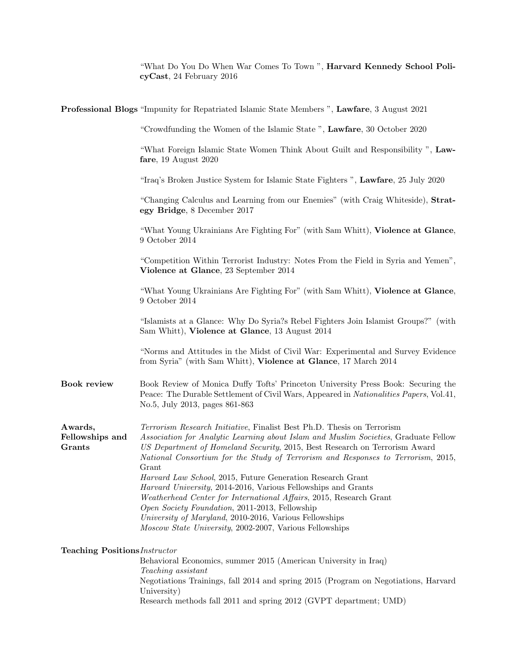"What Do You Do When War Comes To Town ", Harvard Kennedy School PolicyCast, 24 February 2016

|                                      | <b>Professional Blogs</b> "Impunity for Repatriated Islamic State Members", Lawfare, 3 August 2021                                                                                                                                                                                                                                                                                                     |
|--------------------------------------|--------------------------------------------------------------------------------------------------------------------------------------------------------------------------------------------------------------------------------------------------------------------------------------------------------------------------------------------------------------------------------------------------------|
|                                      | "Crowdfunding the Women of the Islamic State", Lawfare, 30 October 2020                                                                                                                                                                                                                                                                                                                                |
|                                      | "What Foreign Islamic State Women Think About Guilt and Responsibility", Law-<br>fare, $19$ August $2020$                                                                                                                                                                                                                                                                                              |
|                                      | "Iraq's Broken Justice System for Islamic State Fighters ", Lawfare, 25 July 2020                                                                                                                                                                                                                                                                                                                      |
|                                      | "Changing Calculus and Learning from our Enemies" (with Craig Whiteside), Strat-<br>egy Bridge, 8 December 2017                                                                                                                                                                                                                                                                                        |
|                                      | "What Young Ukrainians Are Fighting For" (with Sam Whitt), Violence at Glance,<br>9 October 2014                                                                                                                                                                                                                                                                                                       |
|                                      | "Competition Within Terrorist Industry: Notes From the Field in Syria and Yemen",<br>Violence at Glance, 23 September 2014                                                                                                                                                                                                                                                                             |
|                                      | "What Young Ukrainians Are Fighting For" (with Sam Whitt), Violence at Glance,<br>9 October 2014                                                                                                                                                                                                                                                                                                       |
|                                      | "Islamists at a Glance: Why Do Syria?s Rebel Fighters Join Islamist Groups?" (with<br>Sam Whitt), Violence at Glance, 13 August 2014                                                                                                                                                                                                                                                                   |
|                                      | "Norms and Attitudes in the Midst of Civil War: Experimental and Survey Evidence<br>from Syria" (with Sam Whitt), Violence at Glance, 17 March 2014                                                                                                                                                                                                                                                    |
| <b>Book review</b>                   | Book Review of Monica Duffy Tofts' Princeton University Press Book: Securing the<br>Peace: The Durable Settlement of Civil Wars, Appeared in Nationalities Papers, Vol.41,<br>No.5, July 2013, pages 861-863                                                                                                                                                                                           |
| Awards,<br>Fellowships and<br>Grants | Terrorism Research Initiative, Finalist Best Ph.D. Thesis on Terrorism<br>Association for Analytic Learning about Islam and Muslim Societies, Graduate Fellow<br>US Department of Homeland Security, 2015, Best Research on Terrorism Award<br>National Consortium for the Study of Terrorism and Responses to Terrorism, 2015,<br>Grant<br>Harvard Law School, 2015, Future Generation Research Grant |
|                                      | Harvard University, 2014-2016, Various Fellowships and Grants<br>Weatherhead Center for International Affairs, 2015, Research Grant<br>Open Society Foundation, 2011-2013, Fellowship<br>University of Maryland, 2010-2016, Various Fellowships<br>Moscow State University, 2002-2007, Various Fellowships                                                                                             |
|                                      |                                                                                                                                                                                                                                                                                                                                                                                                        |
| <b>Teaching Positions</b> Instructor | Behavioral Economics, summer 2015 (American University in Iraq)                                                                                                                                                                                                                                                                                                                                        |
|                                      | Teaching assistant<br>Negotiations Trainings, fall 2014 and spring 2015 (Program on Negotiations, Harvard<br>University)<br>Research methods fall 2011 and spring 2012 (GVPT department; UMD)                                                                                                                                                                                                          |
|                                      |                                                                                                                                                                                                                                                                                                                                                                                                        |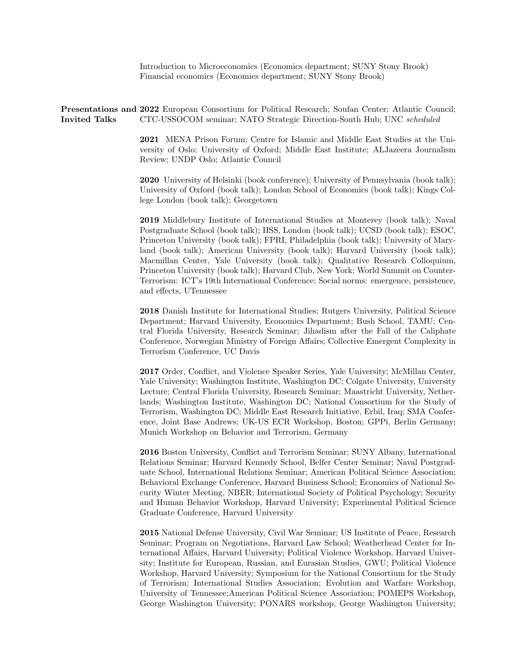Introduction to Microeconomics (Economics department; SUNY Stony Brook) Financial economics (Economics department; SUNY Stony Brook)

Presentations and 2022 European Consortium for Political Research; Soufan Center; Atlantic Council; Invited Talks CTC-USSOCOM seminar; NATO Strategic Direction-South Hub; UNC scheduled

> 2021 MENA Prison Forum; Centre for Islamic and Middle East Studies at the University of Oslo; University of Oxford; Middle East Institute; ALJazeera Journalism Review; UNDP Oslo; Atlantic Council

> 2020 University of Helsinki (book conference); University of Pennsylvania (book talk); University of Oxford (book talk); London School of Economics (book talk); Kings College London (book talk); Georgetown

> 2019 Middlebury Institute of International Studies at Monterey (book talk); Naval Postgraduate School (book talk); IISS, London (book talk); UCSD (book talk); ESOC, Princeton University (book talk); FPRI, Philadelphia (book talk); University of Maryland (book talk); American University (book talk); Harvard University (book talk); Macmillan Center, Yale University (book talk); Qualitative Research Colloquium, Princeton University (book talk); Harvard Club, New York; World Summit on Counter-Terrorism: ICT's 19th International Conference; Social norms: emergence, persistence, and effects, UTennessee

> 2018 Danish Institute for International Studies; Rutgers University, Political Science Department; Harvard University, Economics Department; Bush School, TAMU; Central Florida University, Research Seminar; Jihadism after the Fall of the Caliphate Conference, Norwegian Ministry of Foreign Affairs; Collective Emergent Complexity in Terrorism Conference, UC Davis

> 2017 Order, Conflict, and Violence Speaker Series, Yale University; McMillan Center, Yale University; Washington Institute, Washington DC; Colgate University, University Lecture; Central Florida University, Research Seminar; Maastricht University, Netherlands; Washington Institute, Washington DC; National Consortium for the Study of Terrorism, Washington DC; Middle East Research Initiative, Erbil, Iraq; SMA Conference, Joint Base Andrews; UK-US ECR Workshop, Boston; GPPi, Berlin Germany; Munich Workshop on Behavior and Terrorism, Germany

> 2016 Boston University, Conflict and Terrorism Seminar; SUNY Albany, International Relations Seminar; Harvard Kennedy School, Belfer Center Seminar; Naval Postgraduate School, International Relations Seminar; American Political Science Association; Behavioral Exchange Conference, Harvard Business School; Economics of National Security Winter Meeting, NBER; International Society of Political Psychology; Security and Human Behavior Workshop, Harvard University; Experimental Political Science Graduate Conference, Harvard University

> 2015 National Defense University, Civil War Seminar; US Institute of Peace, Research Seminar; Program on Negotiations, Harvard Law School; Weatherhead Center for International Affairs, Harvard University; Political Violence Workshop, Harvard University; Institute for European, Russian, and Eurasian Studies, GWU; Political Violence Workshop, Harvard University; Symposium for the National Consortium for the Study of Terrorism; International Studies Association; Evolution and Warfare Workshop, University of Tennessee;American Political Science Association; POMEPS Workshop, George Washington University; PONARS workshop, George Washington University;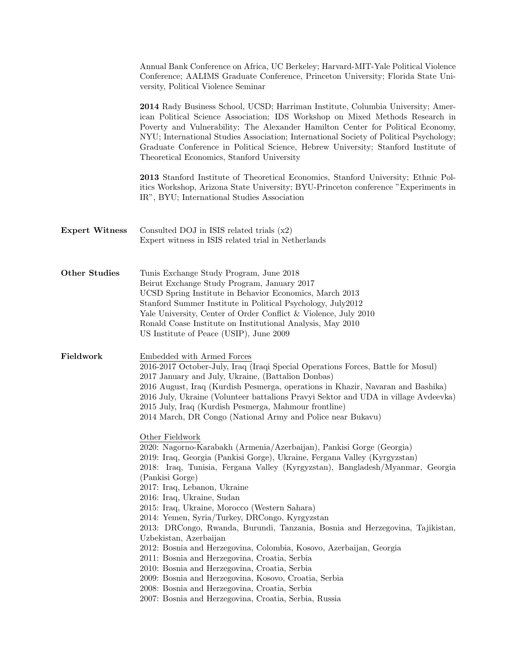|                       | Annual Bank Conference on Africa, UC Berkeley; Harvard-MIT-Yale Political Violence<br>Conference; AALIMS Graduate Conference, Princeton University; Florida State Uni-<br>versity, Political Violence Seminar                                                                                                                                                                                                                                                                                                                                                                                                                                                                                                                                                                                                                           |
|-----------------------|-----------------------------------------------------------------------------------------------------------------------------------------------------------------------------------------------------------------------------------------------------------------------------------------------------------------------------------------------------------------------------------------------------------------------------------------------------------------------------------------------------------------------------------------------------------------------------------------------------------------------------------------------------------------------------------------------------------------------------------------------------------------------------------------------------------------------------------------|
|                       | 2014 Rady Business School, UCSD; Harriman Institute, Columbia University; Amer-<br>ican Political Science Association; IDS Workshop on Mixed Methods Research in<br>Poverty and Vulnerability; The Alexander Hamilton Center for Political Economy,<br>NYU; International Studies Association; International Society of Political Psychology;<br>Graduate Conference in Political Science, Hebrew University; Stanford Institute of<br>Theoretical Economics, Stanford University                                                                                                                                                                                                                                                                                                                                                       |
|                       | 2013 Stanford Institute of Theoretical Economics, Stanford University; Ethnic Pol-<br>itics Workshop, Arizona State University; BYU-Princeton conference "Experiments in<br>IR", BYU; International Studies Association                                                                                                                                                                                                                                                                                                                                                                                                                                                                                                                                                                                                                 |
| <b>Expert Witness</b> | Consulted DOJ in ISIS related trials $(x2)$<br>Expert witness in ISIS related trial in Netherlands                                                                                                                                                                                                                                                                                                                                                                                                                                                                                                                                                                                                                                                                                                                                      |
| <b>Other Studies</b>  | Tunis Exchange Study Program, June 2018<br>Beirut Exchange Study Program, January 2017<br>UCSD Spring Institute in Behavior Economics, March 2013<br>Stanford Summer Institute in Political Psychology, July2012<br>Yale University, Center of Order Conflict & Violence, July 2010<br>Ronald Coase Institute on Institutional Analysis, May 2010<br>US Institute of Peace (USIP), June 2009                                                                                                                                                                                                                                                                                                                                                                                                                                            |
| Fieldwork             | Embedded with Armed Forces<br>2016-2017 October-July, Iraq (Iraqi Special Operations Forces, Battle for Mosul)<br>2017 January and July, Ukraine, (Battalion Donbas)<br>2016 August, Iraq (Kurdish Pesmerga, operations in Khazir, Navaran and Bashika)<br>2016 July, Ukraine (Volunteer battalions Pravyi Sektor and UDA in village Avdeevka)<br>2015 July, Iraq (Kurdish Pesmerga, Mahmour frontline)<br>2014 March, DR Congo (National Army and Police near Bukavu)                                                                                                                                                                                                                                                                                                                                                                  |
|                       | Other Fieldwork<br>2020: Nagorno-Karabakh (Armenia/Azerbaijan), Pankisi Gorge (Georgia)<br>2019: Iraq, Georgia (Pankisi Gorge), Ukraine, Fergana Valley (Kyrgyzstan)<br>2018: Iraq, Tunisia, Fergana Valley (Kyrgyzstan), Bangladesh/Myanmar, Georgia<br>(Pankisi Gorge)<br>2017: Iraq, Lebanon, Ukraine<br>2016: Iraq, Ukraine, Sudan<br>2015: Iraq, Ukraine, Morocco (Western Sahara)<br>2014: Yemen, Syria/Turkey, DRCongo, Kyrgyzstan<br>2013: DRCongo, Rwanda, Burundi, Tanzania, Bosnia and Herzegovina, Tajikistan,<br>Uzbekistan, Azerbaijan<br>2012: Bosnia and Herzegovina, Colombia, Kosovo, Azerbaijan, Georgia<br>2011: Bosnia and Herzegovina, Croatia, Serbia<br>2010: Bosnia and Herzegovina, Croatia, Serbia<br>2009: Bosnia and Herzegovina, Kosovo, Croatia, Serbia<br>2008: Bosnia and Herzegovina, Croatia, Serbia |
|                       | 2007: Bosnia and Herzegovina, Croatia, Serbia, Russia                                                                                                                                                                                                                                                                                                                                                                                                                                                                                                                                                                                                                                                                                                                                                                                   |